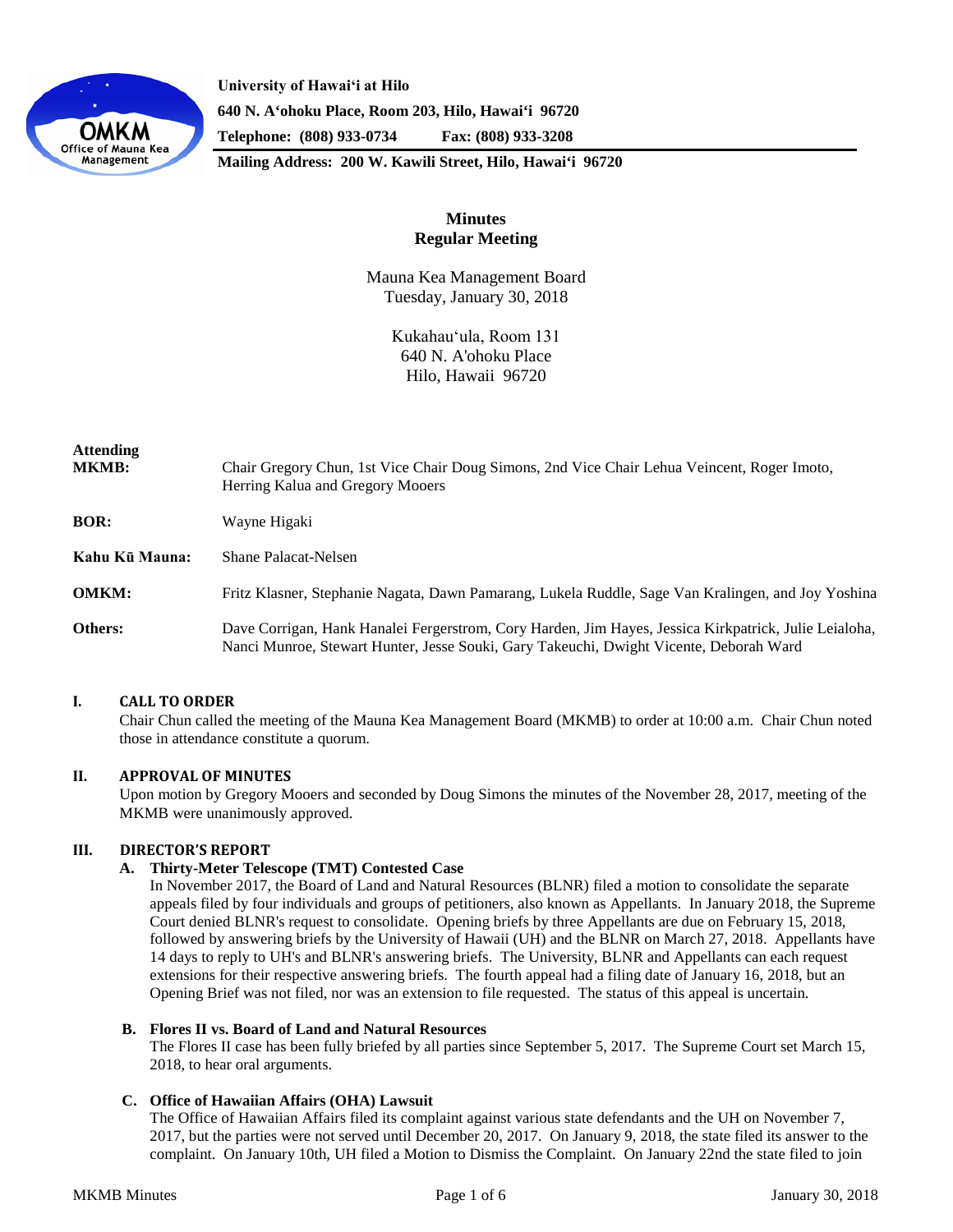

**University of Hawaiʻi at Hilo 640 N. A'ohoku Place, Room 203, Hilo, Hawai'i 96720 Telephone: (808) 933-0734 Fax: (808) 933-3208**

**Mailing Address: 200 W. Kawili Street, Hilo, Hawai'i 96720**

# **Minutes Regular Meeting**

Mauna Kea Management Board Tuesday, January 30, 2018

> Kukahauʻula, Room 131 640 N. A'ohoku Place Hilo, Hawaii 96720

| <b>Attending</b><br><b>MKMB:</b> | Chair Gregory Chun, 1st Vice Chair Doug Simons, 2nd Vice Chair Lehua Veincent, Roger Imoto,<br>Herring Kalua and Gregory Mooers                                                                 |
|----------------------------------|-------------------------------------------------------------------------------------------------------------------------------------------------------------------------------------------------|
| <b>BOR:</b>                      | Wayne Higaki                                                                                                                                                                                    |
| Kahu Kū Mauna:                   | <b>Shane Palacat-Nelsen</b>                                                                                                                                                                     |
| <b>OMKM:</b>                     | Fritz Klasner, Stephanie Nagata, Dawn Pamarang, Lukela Ruddle, Sage Van Kralingen, and Joy Yoshina                                                                                              |
| Others:                          | Dave Corrigan, Hank Hanalei Fergerstrom, Cory Harden, Jim Hayes, Jessica Kirkpatrick, Julie Leialoha,<br>Nanci Munroe, Stewart Hunter, Jesse Souki, Gary Takeuchi, Dwight Vicente, Deborah Ward |

# **I. CALL TO ORDER**

Chair Chun called the meeting of the Mauna Kea Management Board (MKMB) to order at 10:00 a.m. Chair Chun noted those in attendance constitute a quorum.

# **II. APPROVAL OF MINUTES**

Upon motion by Gregory Mooers and seconded by Doug Simons the minutes of the November 28, 2017, meeting of the MKMB were unanimously approved.

# **III. DIRECTOR'S REPORT**

#### **A. Thirty-Meter Telescope (TMT) Contested Case**

In November 2017, the Board of Land and Natural Resources (BLNR) filed a motion to consolidate the separate appeals filed by four individuals and groups of petitioners, also known as Appellants. In January 2018, the Supreme Court denied BLNR's request to consolidate. Opening briefs by three Appellants are due on February 15, 2018, followed by answering briefs by the University of Hawaii (UH) and the BLNR on March 27, 2018. Appellants have 14 days to reply to UH's and BLNR's answering briefs. The University, BLNR and Appellants can each request extensions for their respective answering briefs. The fourth appeal had a filing date of January 16, 2018, but an Opening Brief was not filed, nor was an extension to file requested. The status of this appeal is uncertain.

#### **B. Flores II vs. Board of Land and Natural Resources**

The Flores II case has been fully briefed by all parties since September 5, 2017. The Supreme Court set March 15, 2018, to hear oral arguments.

#### **C. Office of Hawaiian Affairs (OHA) Lawsuit**

The Office of Hawaiian Affairs filed its complaint against various state defendants and the UH on November 7, 2017, but the parties were not served until December 20, 2017. On January 9, 2018, the state filed its answer to the complaint. On January 10th, UH filed a Motion to Dismiss the Complaint. On January 22nd the state filed to join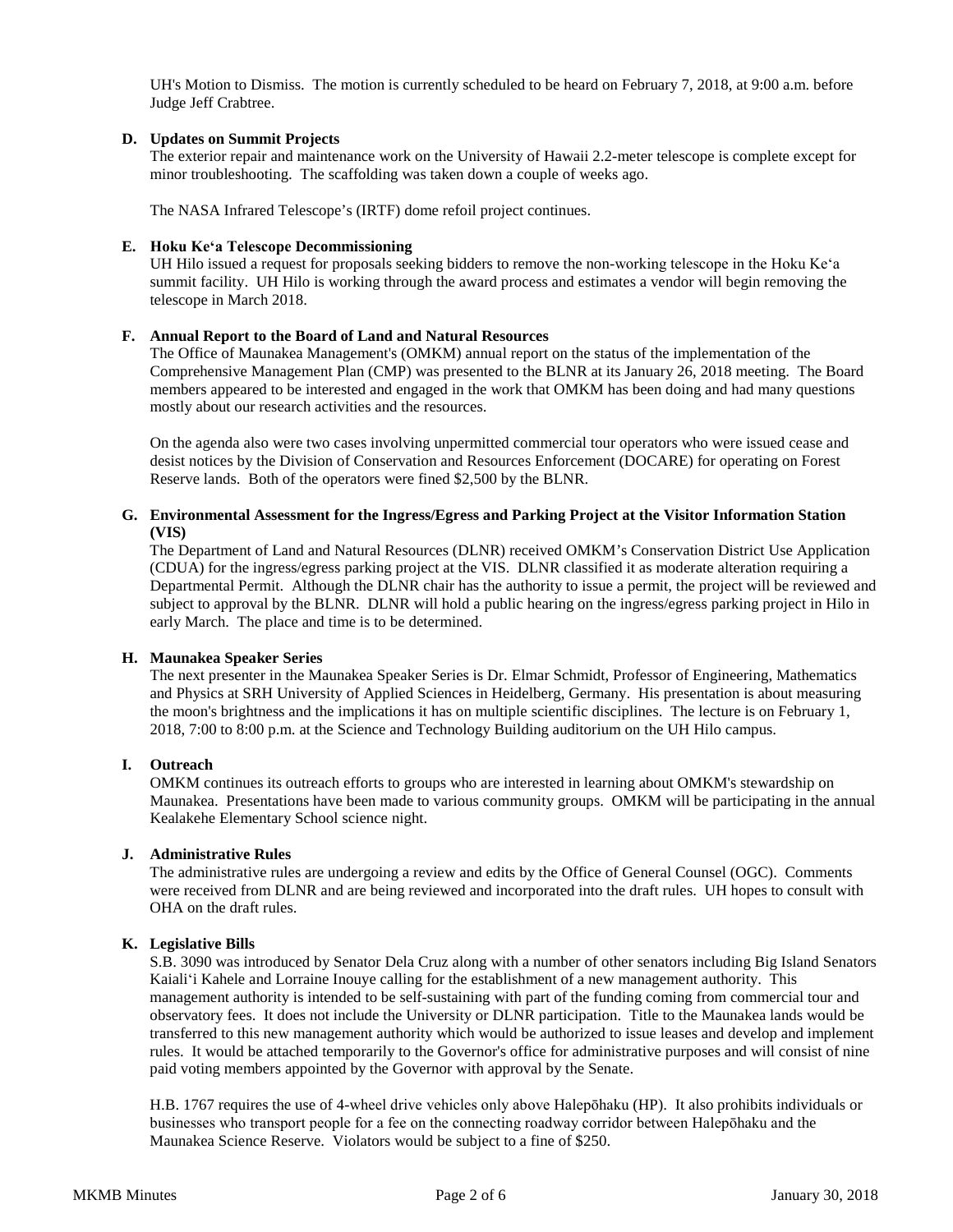UH's Motion to Dismiss. The motion is currently scheduled to be heard on February 7, 2018, at 9:00 a.m. before Judge Jeff Crabtree.

# **D. Updates on Summit Projects**

The exterior repair and maintenance work on the University of Hawaii 2.2-meter telescope is complete except for minor troubleshooting. The scaffolding was taken down a couple of weeks ago.

The NASA Infrared Telescope's (IRTF) dome refoil project continues.

### **E. Hoku Keʻa Telescope Decommissioning**

UH Hilo issued a request for proposals seeking bidders to remove the non-working telescope in the Hoku Keʻa summit facility. UH Hilo is working through the award process and estimates a vendor will begin removing the telescope in March 2018.

### **F. Annual Report to the Board of Land and Natural Resources**

The Office of Maunakea Management's (OMKM) annual report on the status of the implementation of the Comprehensive Management Plan (CMP) was presented to the BLNR at its January 26, 2018 meeting. The Board members appeared to be interested and engaged in the work that OMKM has been doing and had many questions mostly about our research activities and the resources.

On the agenda also were two cases involving unpermitted commercial tour operators who were issued cease and desist notices by the Division of Conservation and Resources Enforcement (DOCARE) for operating on Forest Reserve lands. Both of the operators were fined \$2,500 by the BLNR.

### **G. Environmental Assessment for the Ingress/Egress and Parking Project at the Visitor Information Station (VIS)**

The Department of Land and Natural Resources (DLNR) received OMKM's Conservation District Use Application (CDUA) for the ingress/egress parking project at the VIS. DLNR classified it as moderate alteration requiring a Departmental Permit. Although the DLNR chair has the authority to issue a permit, the project will be reviewed and subject to approval by the BLNR. DLNR will hold a public hearing on the ingress/egress parking project in Hilo in early March. The place and time is to be determined.

# **H. Maunakea Speaker Series**

The next presenter in the Maunakea Speaker Series is Dr. Elmar Schmidt, Professor of Engineering, Mathematics and Physics at SRH University of Applied Sciences in Heidelberg, Germany. His presentation is about measuring the moon's brightness and the implications it has on multiple scientific disciplines. The lecture is on February 1, 2018, 7:00 to 8:00 p.m. at the Science and Technology Building auditorium on the UH Hilo campus.

# **I. Outreach**

OMKM continues its outreach efforts to groups who are interested in learning about OMKM's stewardship on Maunakea. Presentations have been made to various community groups. OMKM will be participating in the annual Kealakehe Elementary School science night.

### **J. Administrative Rules**

The administrative rules are undergoing a review and edits by the Office of General Counsel (OGC). Comments were received from DLNR and are being reviewed and incorporated into the draft rules. UH hopes to consult with OHA on the draft rules.

# **K. Legislative Bills**

S.B. 3090 was introduced by Senator Dela Cruz along with a number of other senators including Big Island Senators Kaialiʻi Kahele and Lorraine Inouye calling for the establishment of a new management authority. This management authority is intended to be self-sustaining with part of the funding coming from commercial tour and observatory fees. It does not include the University or DLNR participation. Title to the Maunakea lands would be transferred to this new management authority which would be authorized to issue leases and develop and implement rules. It would be attached temporarily to the Governor's office for administrative purposes and will consist of nine paid voting members appointed by the Governor with approval by the Senate.

H.B. 1767 requires the use of 4-wheel drive vehicles only above Halepōhaku (HP). It also prohibits individuals or businesses who transport people for a fee on the connecting roadway corridor between Halepōhaku and the Maunakea Science Reserve. Violators would be subject to a fine of \$250.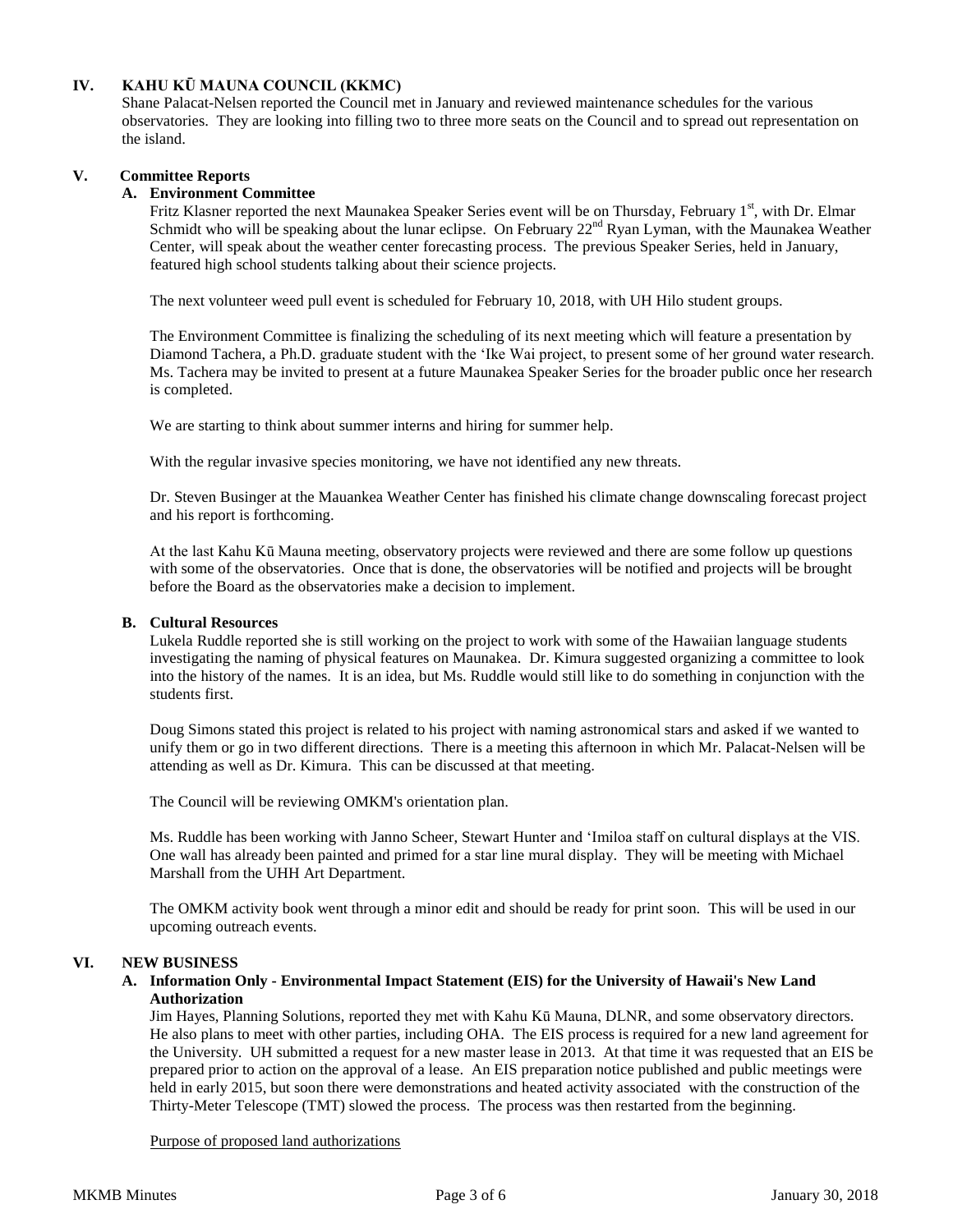# **IV. KAHU KŪ MAUNA COUNCIL (KKMC)**

Shane Palacat-Nelsen reported the Council met in January and reviewed maintenance schedules for the various observatories. They are looking into filling two to three more seats on the Council and to spread out representation on the island.

# **V. Committee Reports**

### **A. Environment Committee**

Fritz Klasner reported the next Maunakea Speaker Series event will be on Thursday, February 1<sup>st</sup>, with Dr. Elmar Schmidt who will be speaking about the lunar eclipse. On February  $22<sup>nd</sup>$  Ryan Lyman, with the Maunakea Weather Center, will speak about the weather center forecasting process. The previous Speaker Series, held in January, featured high school students talking about their science projects.

The next volunteer weed pull event is scheduled for February 10, 2018, with UH Hilo student groups.

The Environment Committee is finalizing the scheduling of its next meeting which will feature a presentation by Diamond Tachera, a Ph.D. graduate student with the ʻIke Wai project, to present some of her ground water research. Ms. Tachera may be invited to present at a future Maunakea Speaker Series for the broader public once her research is completed.

We are starting to think about summer interns and hiring for summer help.

With the regular invasive species monitoring, we have not identified any new threats.

Dr. Steven Businger at the Mauankea Weather Center has finished his climate change downscaling forecast project and his report is forthcoming.

At the last Kahu Kū Mauna meeting, observatory projects were reviewed and there are some follow up questions with some of the observatories. Once that is done, the observatories will be notified and projects will be brought before the Board as the observatories make a decision to implement.

#### **B. Cultural Resources**

Lukela Ruddle reported she is still working on the project to work with some of the Hawaiian language students investigating the naming of physical features on Maunakea. Dr. Kimura suggested organizing a committee to look into the history of the names. It is an idea, but Ms. Ruddle would still like to do something in conjunction with the students first.

Doug Simons stated this project is related to his project with naming astronomical stars and asked if we wanted to unify them or go in two different directions. There is a meeting this afternoon in which Mr. Palacat-Nelsen will be attending as well as Dr. Kimura. This can be discussed at that meeting.

The Council will be reviewing OMKM's orientation plan.

Ms. Ruddle has been working with Janno Scheer, Stewart Hunter and ʻImiloa staff on cultural displays at the VIS. One wall has already been painted and primed for a star line mural display. They will be meeting with Michael Marshall from the UHH Art Department.

The OMKM activity book went through a minor edit and should be ready for print soon. This will be used in our upcoming outreach events.

# **VI. NEW BUSINESS**

### **A. Information Only - Environmental Impact Statement (EIS) for the University of Hawaii's New Land Authorization**

Jim Hayes, Planning Solutions, reported they met with Kahu Kū Mauna, DLNR, and some observatory directors. He also plans to meet with other parties, including OHA. The EIS process is required for a new land agreement for the University. UH submitted a request for a new master lease in 2013. At that time it was requested that an EIS be prepared prior to action on the approval of a lease. An EIS preparation notice published and public meetings were held in early 2015, but soon there were demonstrations and heated activity associated with the construction of the Thirty-Meter Telescope (TMT) slowed the process. The process was then restarted from the beginning.

Purpose of proposed land authorizations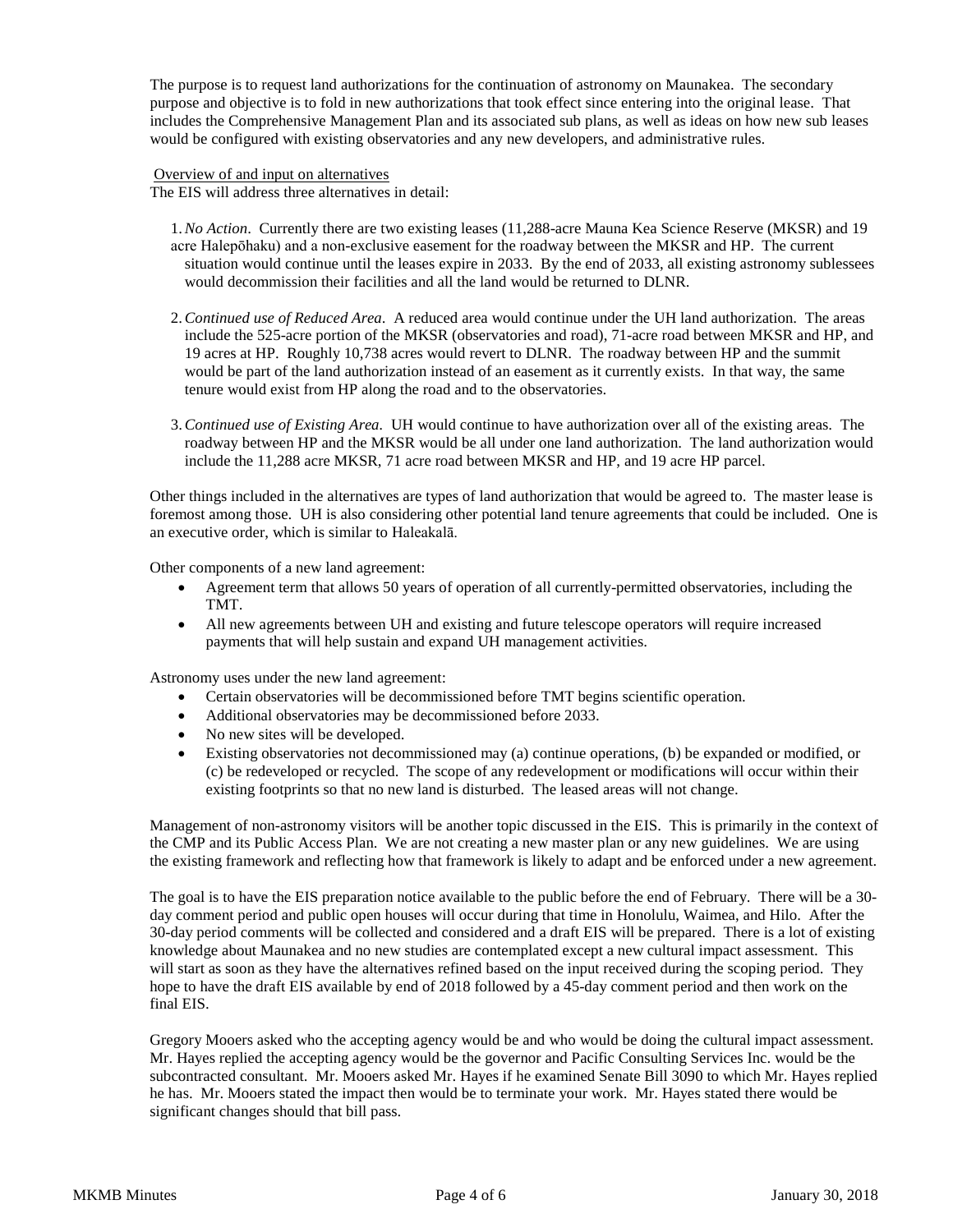The purpose is to request land authorizations for the continuation of astronomy on Maunakea. The secondary purpose and objective is to fold in new authorizations that took effect since entering into the original lease. That includes the Comprehensive Management Plan and its associated sub plans, as well as ideas on how new sub leases would be configured with existing observatories and any new developers, and administrative rules.

Overview of and input on alternatives The EIS will address three alternatives in detail:

- 1.*No Action*. Currently there are two existing leases (11,288-acre Mauna Kea Science Reserve (MKSR) and 19 acre Halepōhaku) and a non-exclusive easement for the roadway between the MKSR and HP. The current situation would continue until the leases expire in 2033. By the end of 2033, all existing astronomy sublessees would decommission their facilities and all the land would be returned to DLNR.
- 2.*Continued use of Reduced Area*. A reduced area would continue under the UH land authorization. The areas include the 525-acre portion of the MKSR (observatories and road), 71-acre road between MKSR and HP, and 19 acres at HP. Roughly 10,738 acres would revert to DLNR. The roadway between HP and the summit would be part of the land authorization instead of an easement as it currently exists. In that way, the same tenure would exist from HP along the road and to the observatories.
- 3.*Continued use of Existing Area.* UH would continue to have authorization over all of the existing areas. The roadway between HP and the MKSR would be all under one land authorization. The land authorization would include the 11,288 acre MKSR, 71 acre road between MKSR and HP, and 19 acre HP parcel.

Other things included in the alternatives are types of land authorization that would be agreed to. The master lease is foremost among those. UH is also considering other potential land tenure agreements that could be included. One is an executive order, which is similar to Haleakalā.

Other components of a new land agreement:

- Agreement term that allows 50 years of operation of all currently-permitted observatories, including the TMT.
- All new agreements between UH and existing and future telescope operators will require increased payments that will help sustain and expand UH management activities.

Astronomy uses under the new land agreement:

- Certain observatories will be decommissioned before TMT begins scientific operation.
- Additional observatories may be decommissioned before 2033.
- No new sites will be developed.
- Existing observatories not decommissioned may (a) continue operations, (b) be expanded or modified, or (c) be redeveloped or recycled. The scope of any redevelopment or modifications will occur within their existing footprints so that no new land is disturbed. The leased areas will not change.

Management of non-astronomy visitors will be another topic discussed in the EIS. This is primarily in the context of the CMP and its Public Access Plan. We are not creating a new master plan or any new guidelines. We are using the existing framework and reflecting how that framework is likely to adapt and be enforced under a new agreement.

The goal is to have the EIS preparation notice available to the public before the end of February. There will be a 30 day comment period and public open houses will occur during that time in Honolulu, Waimea, and Hilo. After the 30-day period comments will be collected and considered and a draft EIS will be prepared. There is a lot of existing knowledge about Maunakea and no new studies are contemplated except a new cultural impact assessment. This will start as soon as they have the alternatives refined based on the input received during the scoping period. They hope to have the draft EIS available by end of 2018 followed by a 45-day comment period and then work on the final EIS.

Gregory Mooers asked who the accepting agency would be and who would be doing the cultural impact assessment. Mr. Hayes replied the accepting agency would be the governor and Pacific Consulting Services Inc. would be the subcontracted consultant. Mr. Mooers asked Mr. Hayes if he examined Senate Bill 3090 to which Mr. Hayes replied he has. Mr. Mooers stated the impact then would be to terminate your work. Mr. Hayes stated there would be significant changes should that bill pass.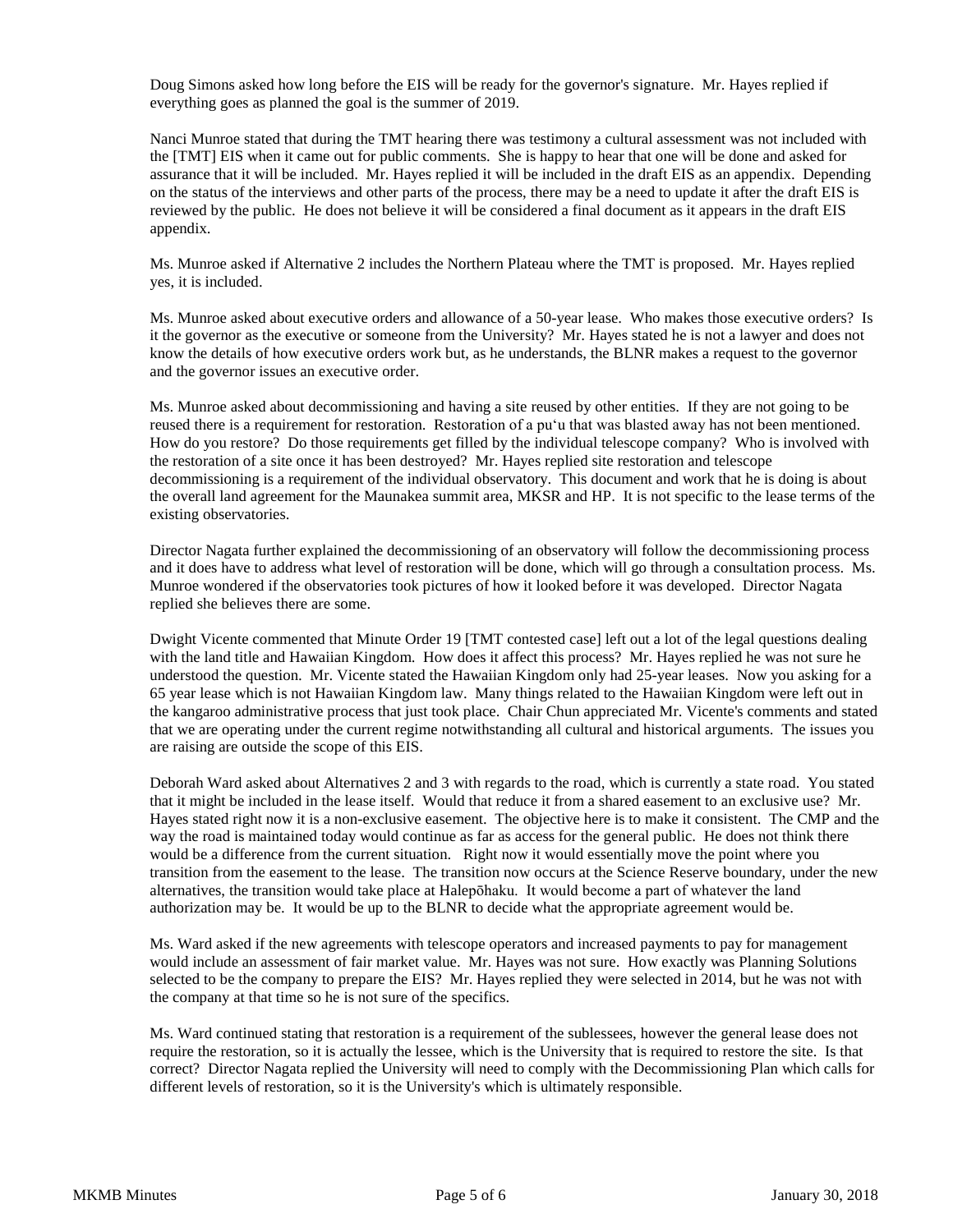Doug Simons asked how long before the EIS will be ready for the governor's signature. Mr. Hayes replied if everything goes as planned the goal is the summer of 2019.

Nanci Munroe stated that during the TMT hearing there was testimony a cultural assessment was not included with the [TMT] EIS when it came out for public comments. She is happy to hear that one will be done and asked for assurance that it will be included. Mr. Hayes replied it will be included in the draft EIS as an appendix. Depending on the status of the interviews and other parts of the process, there may be a need to update it after the draft EIS is reviewed by the public. He does not believe it will be considered a final document as it appears in the draft EIS appendix.

Ms. Munroe asked if Alternative 2 includes the Northern Plateau where the TMT is proposed. Mr. Hayes replied yes, it is included.

Ms. Munroe asked about executive orders and allowance of a 50-year lease. Who makes those executive orders? Is it the governor as the executive or someone from the University? Mr. Hayes stated he is not a lawyer and does not know the details of how executive orders work but, as he understands, the BLNR makes a request to the governor and the governor issues an executive order.

Ms. Munroe asked about decommissioning and having a site reused by other entities. If they are not going to be reused there is a requirement for restoration. Restoration of a puʻu that was blasted away has not been mentioned. How do you restore? Do those requirements get filled by the individual telescope company? Who is involved with the restoration of a site once it has been destroyed? Mr. Hayes replied site restoration and telescope decommissioning is a requirement of the individual observatory. This document and work that he is doing is about the overall land agreement for the Maunakea summit area, MKSR and HP. It is not specific to the lease terms of the existing observatories.

Director Nagata further explained the decommissioning of an observatory will follow the decommissioning process and it does have to address what level of restoration will be done, which will go through a consultation process. Ms. Munroe wondered if the observatories took pictures of how it looked before it was developed. Director Nagata replied she believes there are some.

Dwight Vicente commented that Minute Order 19 [TMT contested case] left out a lot of the legal questions dealing with the land title and Hawaiian Kingdom. How does it affect this process? Mr. Hayes replied he was not sure he understood the question. Mr. Vicente stated the Hawaiian Kingdom only had 25-year leases. Now you asking for a 65 year lease which is not Hawaiian Kingdom law. Many things related to the Hawaiian Kingdom were left out in the kangaroo administrative process that just took place. Chair Chun appreciated Mr. Vicente's comments and stated that we are operating under the current regime notwithstanding all cultural and historical arguments. The issues you are raising are outside the scope of this EIS.

Deborah Ward asked about Alternatives 2 and 3 with regards to the road, which is currently a state road. You stated that it might be included in the lease itself. Would that reduce it from a shared easement to an exclusive use? Mr. Hayes stated right now it is a non-exclusive easement. The objective here is to make it consistent. The CMP and the way the road is maintained today would continue as far as access for the general public. He does not think there would be a difference from the current situation. Right now it would essentially move the point where you transition from the easement to the lease. The transition now occurs at the Science Reserve boundary, under the new alternatives, the transition would take place at Halepōhaku. It would become a part of whatever the land authorization may be. It would be up to the BLNR to decide what the appropriate agreement would be.

Ms. Ward asked if the new agreements with telescope operators and increased payments to pay for management would include an assessment of fair market value. Mr. Hayes was not sure. How exactly was Planning Solutions selected to be the company to prepare the EIS? Mr. Hayes replied they were selected in 2014, but he was not with the company at that time so he is not sure of the specifics.

Ms. Ward continued stating that restoration is a requirement of the sublessees, however the general lease does not require the restoration, so it is actually the lessee, which is the University that is required to restore the site. Is that correct? Director Nagata replied the University will need to comply with the Decommissioning Plan which calls for different levels of restoration, so it is the University's which is ultimately responsible.